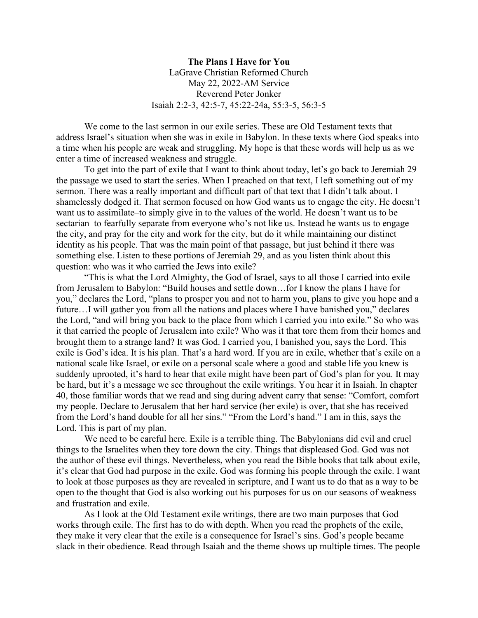**The Plans I Have for You** LaGrave Christian Reformed Church May 22, 2022-AM Service Reverend Peter Jonker Isaiah 2:2-3, 42:5-7, 45:22-24a, 55:3-5, 56:3-5

We come to the last sermon in our exile series. These are Old Testament texts that address Israel's situation when she was in exile in Babylon. In these texts where God speaks into a time when his people are weak and struggling. My hope is that these words will help us as we enter a time of increased weakness and struggle.

To get into the part of exile that I want to think about today, let's go back to Jeremiah 29– the passage we used to start the series. When I preached on that text, I left something out of my sermon. There was a really important and difficult part of that text that I didn't talk about. I shamelessly dodged it. That sermon focused on how God wants us to engage the city. He doesn't want us to assimilate–to simply give in to the values of the world. He doesn't want us to be sectarian–to fearfully separate from everyone who's not like us. Instead he wants us to engage the city, and pray for the city and work for the city, but do it while maintaining our distinct identity as his people. That was the main point of that passage, but just behind it there was something else. Listen to these portions of Jeremiah 29, and as you listen think about this question: who was it who carried the Jews into exile?

"This is what the Lord Almighty, the God of Israel, says to all those I carried into exile from Jerusalem to Babylon: "Build houses and settle down…for I know the plans I have for you," declares the Lord, "plans to prosper you and not to harm you, plans to give you hope and a future…I will gather you from all the nations and places where I have banished you," declares the Lord, "and will bring you back to the place from which I carried you into exile." So who was it that carried the people of Jerusalem into exile? Who was it that tore them from their homes and brought them to a strange land? It was God. I carried you, I banished you, says the Lord. This exile is God's idea. It is his plan. That's a hard word. If you are in exile, whether that's exile on a national scale like Israel, or exile on a personal scale where a good and stable life you knew is suddenly uprooted, it's hard to hear that exile might have been part of God's plan for you. It may be hard, but it's a message we see throughout the exile writings. You hear it in Isaiah. In chapter 40, those familiar words that we read and sing during advent carry that sense: "Comfort, comfort my people. Declare to Jerusalem that her hard service (her exile) is over, that she has received from the Lord's hand double for all her sins." "From the Lord's hand." I am in this, says the Lord. This is part of my plan.

We need to be careful here. Exile is a terrible thing. The Babylonians did evil and cruel things to the Israelites when they tore down the city. Things that displeased God. God was not the author of these evil things. Nevertheless, when you read the Bible books that talk about exile, it's clear that God had purpose in the exile. God was forming his people through the exile. I want to look at those purposes as they are revealed in scripture, and I want us to do that as a way to be open to the thought that God is also working out his purposes for us on our seasons of weakness and frustration and exile.

As I look at the Old Testament exile writings, there are two main purposes that God works through exile. The first has to do with depth. When you read the prophets of the exile, they make it very clear that the exile is a consequence for Israel's sins. God's people became slack in their obedience. Read through Isaiah and the theme shows up multiple times. The people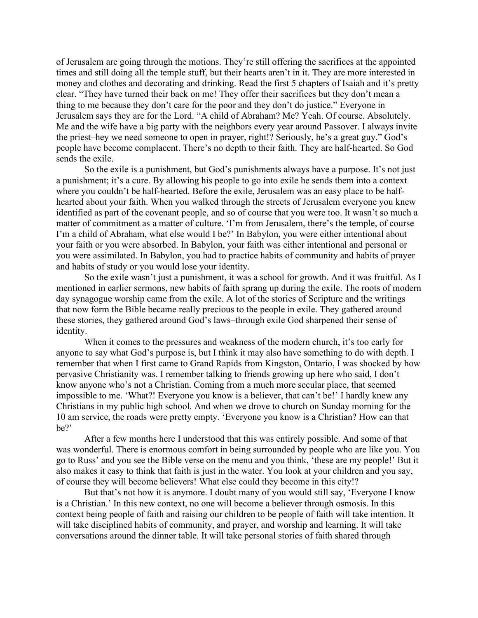of Jerusalem are going through the motions. They're still offering the sacrifices at the appointed times and still doing all the temple stuff, but their hearts aren't in it. They are more interested in money and clothes and decorating and drinking. Read the first 5 chapters of Isaiah and it's pretty clear. "They have turned their back on me! They offer their sacrifices but they don't mean a thing to me because they don't care for the poor and they don't do justice." Everyone in Jerusalem says they are for the Lord. "A child of Abraham? Me? Yeah. Of course. Absolutely. Me and the wife have a big party with the neighbors every year around Passover. I always invite the priest–hey we need someone to open in prayer, right!? Seriously, he's a great guy." God's people have become complacent. There's no depth to their faith. They are half-hearted. So God sends the exile.

So the exile is a punishment, but God's punishments always have a purpose. It's not just a punishment; it's a cure. By allowing his people to go into exile he sends them into a context where you couldn't be half-hearted. Before the exile, Jerusalem was an easy place to be halfhearted about your faith. When you walked through the streets of Jerusalem everyone you knew identified as part of the covenant people, and so of course that you were too. It wasn't so much a matter of commitment as a matter of culture. 'I'm from Jerusalem, there's the temple, of course I'm a child of Abraham, what else would I be?' In Babylon, you were either intentional about your faith or you were absorbed. In Babylon, your faith was either intentional and personal or you were assimilated. In Babylon, you had to practice habits of community and habits of prayer and habits of study or you would lose your identity.

So the exile wasn't just a punishment, it was a school for growth. And it was fruitful. As I mentioned in earlier sermons, new habits of faith sprang up during the exile. The roots of modern day synagogue worship came from the exile. A lot of the stories of Scripture and the writings that now form the Bible became really precious to the people in exile. They gathered around these stories, they gathered around God's laws–through exile God sharpened their sense of identity.

When it comes to the pressures and weakness of the modern church, it's too early for anyone to say what God's purpose is, but I think it may also have something to do with depth. I remember that when I first came to Grand Rapids from Kingston, Ontario, I was shocked by how pervasive Christianity was. I remember talking to friends growing up here who said, I don't know anyone who's not a Christian. Coming from a much more secular place, that seemed impossible to me. 'What?! Everyone you know is a believer, that can't be!' I hardly knew any Christians in my public high school. And when we drove to church on Sunday morning for the 10 am service, the roads were pretty empty. 'Everyone you know is a Christian? How can that be?'

After a few months here I understood that this was entirely possible. And some of that was wonderful. There is enormous comfort in being surrounded by people who are like you. You go to Russ' and you see the Bible verse on the menu and you think, 'these are my people!' But it also makes it easy to think that faith is just in the water. You look at your children and you say, of course they will become believers! What else could they become in this city!?

But that's not how it is anymore. I doubt many of you would still say, 'Everyone I know is a Christian.' In this new context, no one will become a believer through osmosis. In this context being people of faith and raising our children to be people of faith will take intention. It will take disciplined habits of community, and prayer, and worship and learning. It will take conversations around the dinner table. It will take personal stories of faith shared through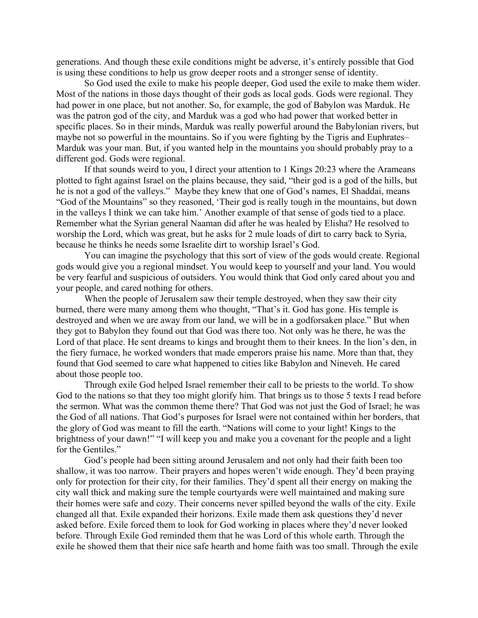generations. And though these exile conditions might be adverse, it's entirely possible that God is using these conditions to help us grow deeper roots and a stronger sense of identity.

So God used the exile to make his people deeper, God used the exile to make them wider. Most of the nations in those days thought of their gods as local gods. Gods were regional. They had power in one place, but not another. So, for example, the god of Babylon was Marduk. He was the patron god of the city, and Marduk was a god who had power that worked better in specific places. So in their minds, Marduk was really powerful around the Babylonian rivers, but maybe not so powerful in the mountains. So if you were fighting by the Tigris and Euphrates– Marduk was your man. But, if you wanted help in the mountains you should probably pray to a different god. Gods were regional.

If that sounds weird to you, I direct your attention to 1 Kings 20:23 where the Arameans plotted to fight against Israel on the plains because, they said, "their god is a god of the hills, but he is not a god of the valleys." Maybe they knew that one of God's names, El Shaddai, means "God of the Mountains" so they reasoned, 'Their god is really tough in the mountains, but down in the valleys I think we can take him.' Another example of that sense of gods tied to a place. Remember what the Syrian general Naaman did after he was healed by Elisha? He resolved to worship the Lord, which was great, but he asks for 2 mule loads of dirt to carry back to Syria, because he thinks he needs some Israelite dirt to worship Israel's God.

You can imagine the psychology that this sort of view of the gods would create. Regional gods would give you a regional mindset. You would keep to yourself and your land. You would be very fearful and suspicious of outsiders. You would think that God only cared about you and your people, and cared nothing for others.

When the people of Jerusalem saw their temple destroyed, when they saw their city burned, there were many among them who thought, "That's it. God has gone. His temple is destroyed and when we are away from our land, we will be in a godforsaken place." But when they got to Babylon they found out that God was there too. Not only was he there, he was the Lord of that place. He sent dreams to kings and brought them to their knees. In the lion's den, in the fiery furnace, he worked wonders that made emperors praise his name. More than that, they found that God seemed to care what happened to cities like Babylon and Nineveh. He cared about those people too.

Through exile God helped Israel remember their call to be priests to the world. To show God to the nations so that they too might glorify him. That brings us to those 5 texts I read before the sermon. What was the common theme there? That God was not just the God of Israel; he was the God of all nations. That God's purposes for Israel were not contained within her borders, that the glory of God was meant to fill the earth. "Nations will come to your light! Kings to the brightness of your dawn!" "I will keep you and make you a covenant for the people and a light for the Gentiles."

God's people had been sitting around Jerusalem and not only had their faith been too shallow, it was too narrow. Their prayers and hopes weren't wide enough. They'd been praying only for protection for their city, for their families. They'd spent all their energy on making the city wall thick and making sure the temple courtyards were well maintained and making sure their homes were safe and cozy. Their concerns never spilled beyond the walls of the city. Exile changed all that. Exile expanded their horizons. Exile made them ask questions they'd never asked before. Exile forced them to look for God working in places where they'd never looked before. Through Exile God reminded them that he was Lord of this whole earth. Through the exile he showed them that their nice safe hearth and home faith was too small. Through the exile